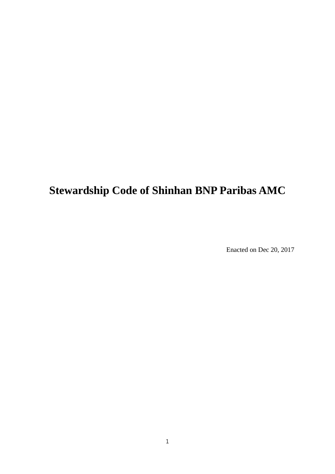## **Stewardship Code of Shinhan BNP Paribas AMC**

Enacted on Dec 20, 2017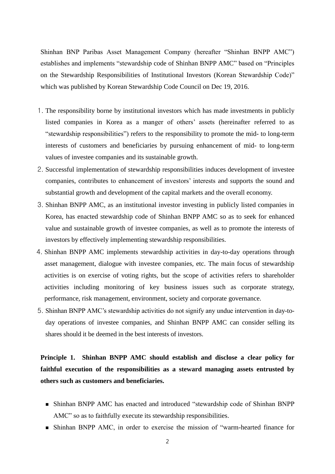Shinhan BNP Paribas Asset Management Company (hereafter "Shinhan BNPP AMC") establishes and implements "stewardship code of Shinhan BNPP AMC" based on "Principles on the Stewardship Responsibilities of Institutional Investors (Korean Stewardship Code)" which was published by Korean Stewardship Code Council on Dec 19, 2016.

- 1. The responsibility borne by institutional investors which has made investments in publicly listed companies in Korea as a manger of others' assets (hereinafter referred to as "stewardship responsibilities") refers to the responsibility to promote the mid- to long-term interests of customers and beneficiaries by pursuing enhancement of mid- to long-term values of investee companies and its sustainable growth.
- 2. Successful implementation of stewardship responsibilities induces development of investee companies, contributes to enhancement of investors' interests and supports the sound and substantial growth and development of the capital markets and the overall economy.
- 3. Shinhan BNPP AMC, as an institutional investor investing in publicly listed companies in Korea, has enacted stewardship code of Shinhan BNPP AMC so as to seek for enhanced value and sustainable growth of investee companies, as well as to promote the interests of investors by effectively implementing stewardship responsibilities.
- 4. Shinhan BNPP AMC implements stewardship activities in day-to-day operations through asset management, dialogue with investee companies, etc. The main focus of stewardship activities is on exercise of voting rights, but the scope of activities refers to shareholder activities including monitoring of key business issues such as corporate strategy, performance, risk management, environment, society and corporate governance.
- 5. Shinhan BNPP AMC's stewardship activities do not signify any undue intervention in day-today operations of investee companies, and Shinhan BNPP AMC can consider selling its shares should it be deemed in the best interests of investors.

**Principle 1. Shinhan BNPP AMC should establish and disclose a clear policy for faithful execution of the responsibilities as a steward managing assets entrusted by others such as customers and beneficiaries.** 

- Shinhan BNPP AMC has enacted and introduced "stewardship code of Shinhan BNPP AMC" so as to faithfully execute its stewardship responsibilities.
- Shinhan BNPP AMC, in order to exercise the mission of "warm-hearted finance for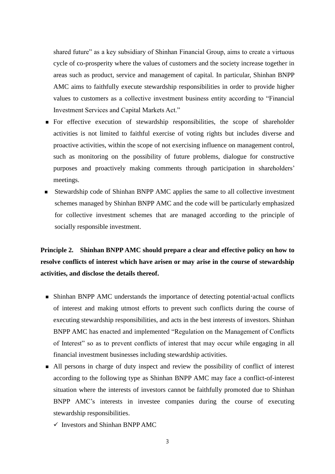shared future" as a key subsidiary of Shinhan Financial Group, aims to create a virtuous cycle of co-prosperity where the values of customers and the society increase together in areas such as product, service and management of capital. In particular, Shinhan BNPP AMC aims to faithfully execute stewardship responsibilities in order to provide higher values to customers as a collective investment business entity according to "Financial Investment Services and Capital Markets Act."

- **For effective execution of stewardship responsibilities, the scope of shareholder** activities is not limited to faithful exercise of voting rights but includes diverse and proactive activities, within the scope of not exercising influence on management control, such as monitoring on the possibility of future problems, dialogue for constructive purposes and proactively making comments through participation in shareholders' meetings.
- Stewardship code of Shinhan BNPP AMC applies the same to all collective investment schemes managed by Shinhan BNPP AMC and the code will be particularly emphasized for collective investment schemes that are managed according to the principle of socially responsible investment.

**Principle 2. Shinhan BNPP AMC should prepare a clear and effective policy on how to resolve conflicts of interest which have arisen or may arise in the course of stewardship activities, and disclose the details thereof.**

- Shinhan BNPP AMC understands the importance of detecting potential actual conflicts of interest and making utmost efforts to prevent such conflicts during the course of executing stewardship responsibilities, and acts in the best interests of investors. Shinhan BNPP AMC has enacted and implemented "Regulation on the Management of Conflicts of Interest" so as to prevent conflicts of interest that may occur while engaging in all financial investment businesses including stewardship activities.
- All persons in charge of duty inspect and review the possibility of conflict of interest according to the following type as Shinhan BNPP AMC may face a conflict-of-interest situation where the interests of investors cannot be faithfully promoted due to Shinhan BNPP AMC's interests in investee companies during the course of executing stewardship responsibilities.
	- $\checkmark$  Investors and Shinhan BNPP AMC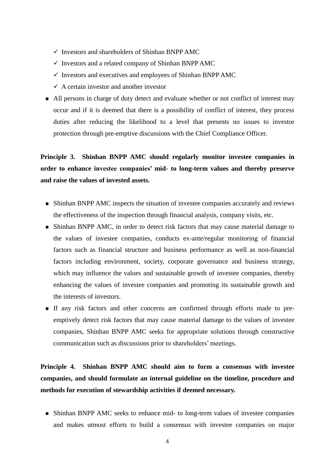- $\checkmark$  Investors and shareholders of Shinhan BNPP AMC
- $\checkmark$  Investors and a related company of Shinhan BNPP AMC
- $\checkmark$  Investors and executives and employees of Shinhan BNPP AMC
- $\checkmark$  A certain investor and another investor
- All persons in charge of duty detect and evaluate whether or not conflict of interest may occur and if it is deemed that there is a possibility of conflict of interest, they process duties after reducing the likelihood to a level that presents no issues to investor protection through pre-emptive discussions with the Chief Compliance Officer.

## **Principle 3. Shinhan BNPP AMC should regularly monitor investee companies in order to enhance investee companies' mid- to long-term values and thereby preserve and raise the values of invested assets.**

- Shinhan BNPP AMC inspects the situation of investee companies accurately and reviews the effectiveness of the inspection through financial analysis, company visits, etc.
- Shinhan BNPP AMC, in order to detect risk factors that may cause material damage to the values of investee companies, conducts ex-ante/regular monitoring of financial factors such as financial structure and business performance as well as non-financial factors including environment, society, corporate governance and business strategy, which may influence the values and sustainable growth of investee companies, thereby enhancing the values of investee companies and promoting its sustainable growth and the interests of investors.
- If any risk factors and other concerns are confirmed through efforts made to preemptively detect risk factors that may cause material damage to the values of investee companies, Shinhan BNPP AMC seeks for appropriate solutions through constructive communication such as discussions prior to shareholders' meetings.

**Principle 4. Shinhan BNPP AMC should aim to form a consensus with investee companies, and should formulate an internal guideline on the timeline, procedure and methods for execution of stewardship activities if deemed necessary.**

 Shinhan BNPP AMC seeks to enhance mid- to long-term values of investee companies and makes utmost efforts to build a consensus with investee companies on major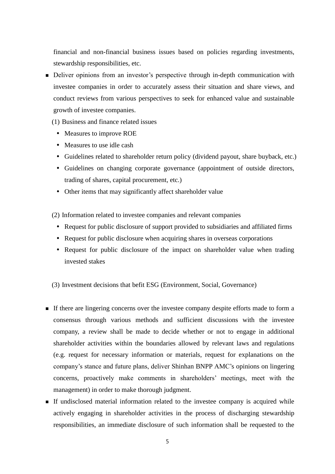financial and non-financial business issues based on policies regarding investments, stewardship responsibilities, etc.

- Deliver opinions from an investor's perspective through in-depth communication with investee companies in order to accurately assess their situation and share views, and conduct reviews from various perspectives to seek for enhanced value and sustainable growth of investee companies.
	- (1) Business and finance related issues
		- Measures to improve ROE
		- Measures to use idle cash
		- Guidelines related to shareholder return policy (dividend payout, share buyback, etc.)
		- Guidelines on changing corporate governance (appointment of outside directors, trading of shares, capital procurement, etc.)
		- Other items that may significantly affect shareholder value
	- (2) Information related to investee companies and relevant companies
		- Request for public disclosure of support provided to subsidiaries and affiliated firms
		- Request for public disclosure when acquiring shares in overseas corporations
		- Request for public disclosure of the impact on shareholder value when trading invested stakes
	- (3) Investment decisions that befit ESG (Environment, Social, Governance)
- If there are lingering concerns over the investee company despite efforts made to form a consensus through various methods and sufficient discussions with the investee company, a review shall be made to decide whether or not to engage in additional shareholder activities within the boundaries allowed by relevant laws and regulations (e.g. request for necessary information or materials, request for explanations on the company's stance and future plans, deliver Shinhan BNPP AMC's opinions on lingering concerns, proactively make comments in shareholders' meetings, meet with the management) in order to make thorough judgment.
- If undisclosed material information related to the investee company is acquired while actively engaging in shareholder activities in the process of discharging stewardship responsibilities, an immediate disclosure of such information shall be requested to the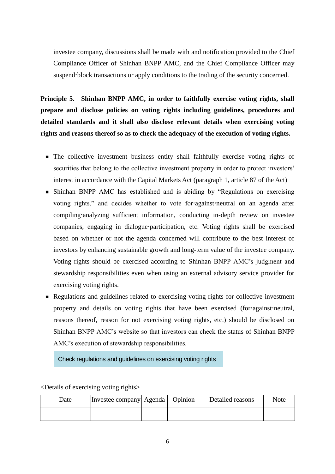investee company, discussions shall be made with and notification provided to the Chief Compliance Officer of Shinhan BNPP AMC, and the Chief Compliance Officer may suspend block transactions or apply conditions to the trading of the security concerned.

**Principle 5. Shinhan BNPP AMC, in order to faithfully exercise voting rights, shall prepare and disclose policies on voting rights including guidelines, procedures and detailed standards and it shall also disclose relevant details when exercising voting rights and reasons thereof so as to check the adequacy of the execution of voting rights.**

- The collective investment business entity shall faithfully exercise voting rights of securities that belong to the collective investment property in order to protect investors' interest in accordance with the Capital Markets Act (paragraph 1, article 87 of the Act)
- Shinhan BNPP AMC has established and is abiding by "Regulations on exercising voting rights," and decides whether to vote for against neutral on an agenda after compiling analyzing sufficient information, conducting in-depth review on investee companies, engaging in dialogue participation, etc. Voting rights shall be exercised based on whether or not the agenda concerned will contribute to the best interest of investors by enhancing sustainable growth and long-term value of the investee company. Voting rights should be exercised according to Shinhan BNPP AMC's judgment and stewardship responsibilities even when using an external advisory service provider for exercising voting rights.
- Regulations and guidelines related to exercising voting rights for collective investment property and details on voting rights that have been exercised (for against neutral, reasons thereof, reason for not exercising voting rights, etc.) should be disclosed on Shinhan BNPP AMC's website so that investors can check the status of Shinhan BNPP AMC's execution of stewardship responsibilities.

Check regulations and guidelines on exercising voting rights

Date Investee company Agenda | Opinion | Detailed reasons | Note

<Details of exercising voting rights>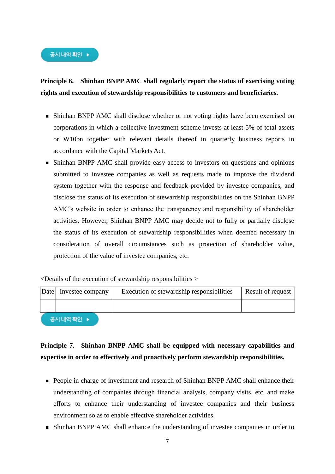

## **Principle 6. Shinhan BNPP AMC shall regularly report the status of exercising voting rights and execution of stewardship responsibilities to customers and beneficiaries.**

- Shinhan BNPP AMC shall disclose whether or not voting rights have been exercised on corporations in which a collective investment scheme invests at least 5% of total assets or W10bn together with relevant details thereof in quarterly business reports in accordance with the Capital Markets Act.
- Shinhan BNPP AMC shall provide easy access to investors on questions and opinions submitted to investee companies as well as requests made to improve the dividend system together with the response and feedback provided by investee companies, and disclose the status of its execution of stewardship responsibilities on the Shinhan BNPP AMC's website in order to enhance the transparency and responsibility of shareholder activities. However, Shinhan BNPP AMC may decide not to fully or partially disclose the status of its execution of stewardship responsibilities when deemed necessary in consideration of overall circumstances such as protection of shareholder value, protection of the value of investee companies, etc.

 $\leq$ Details of the execution of stewardship responsibilities  $>$ 

| Date | Investee company | Execution of stewardship responsibilities | Result of request |
|------|------------------|-------------------------------------------|-------------------|
|      |                  |                                           |                   |
|      | 고지 내여 화이         |                                           |                   |

## **Principle 7. Shinhan BNPP AMC shall be equipped with necessary capabilities and expertise in order to effectively and proactively perform stewardship responsibilities.**

- **People in charge of investment and research of Shinhan BNPP AMC shall enhance their** understanding of companies through financial analysis, company visits, etc. and make efforts to enhance their understanding of investee companies and their business environment so as to enable effective shareholder activities.
- Shinhan BNPP AMC shall enhance the understanding of investee companies in order to